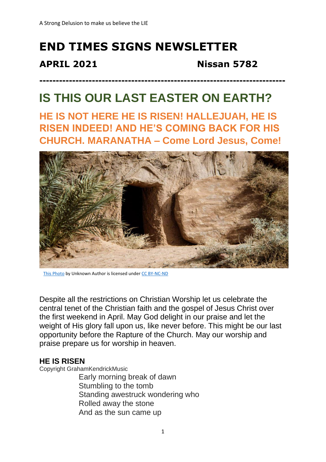# **END TIMES SIGNS NEWSLETTER APRIL 2021 Nissan 5782**

## **IS THIS OUR LAST EASTER ON EARTH?**

**---------------------------------------------------------------------------**

**HE IS NOT HERE HE IS RISEN! HALLEJUAH, HE IS RISEN INDEED! AND HE'S COMING BACK FOR HIS CHURCH. MARANATHA – Come Lord Jesus, Come!**



This Photo by Unknown Author is licensed under CC BY-NC-ND

Despite all the restrictions on Christian Worship let us celebrate the central tenet of the Christian faith and the gospel of Jesus Christ over the first weekend in April. May God delight in our praise and let the weight of His glory fall upon us, like never before. This might be our last opportunity before the Rapture of the Church. May our worship and praise prepare us for worship in heaven.

#### **HE IS RISEN**

Copyright GrahamKendrickMusic

Early morning break of dawn Stumbling to the tomb Standing awestruck wondering who Rolled away the stone And as the sun came up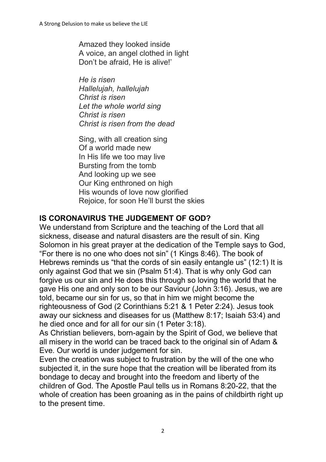Amazed they looked inside A voice, an angel clothed in light Don't be afraid, He is alive!'

*He is risen Hallelujah, hallelujah Christ is risen Let the whole world sing Christ is risen Christ is risen from the dead* 

Sing, with all creation sing Of a world made new In His life we too may live Bursting from the tomb And looking up we see Our King enthroned on high His wounds of love now glorified Rejoice, for soon He'll burst the skies

#### **IS CORONAVIRUS THE JUDGEMENT OF GOD?**

We understand from Scripture and the teaching of the Lord that all sickness, disease and natural disasters are the result of sin. King Solomon in his great prayer at the dedication of the Temple says to God, "For there is no one who does not sin" (1 Kings 8:46). The book of Hebrews reminds us "that the cords of sin easily entangle us" (12:1) It is only against God that we sin (Psalm 51:4). That is why only God can forgive us our sin and He does this through so loving the world that he gave His one and only son to be our Saviour (John 3:16). Jesus, we are told, became our sin for us, so that in him we might become the righteousness of God (2 Corinthians 5:21 & 1 Peter 2:24). Jesus took away our sickness and diseases for us (Matthew 8:17; Isaiah 53:4) and he died once and for all for our sin (1 Peter 3:18).

As Christian believers, born-again by the Spirit of God, we believe that all misery in the world can be traced back to the original sin of Adam & Eve. Our world is under judgement for sin.

Even the creation was subject to frustration by the will of the one who subjected it, in the sure hope that the creation will be liberated from its bondage to decay and brought into the freedom and liberty of the children of God. The Apostle Paul tells us in Romans 8:20-22, that the whole of creation has been groaning as in the pains of childbirth right up to the present time.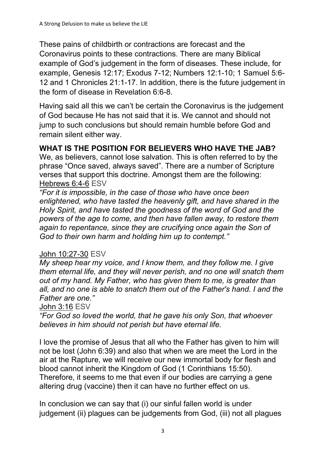These pains of childbirth or contractions are forecast and the Coronavirus points to these contractions. There are many Biblical example of God's judgement in the form of diseases. These include, for example, Genesis 12:17; Exodus 7-12; Numbers 12:1-10; 1 Samuel 5:6- 12 and 1 Chronicles 21:1-17. In addition, there is the future judgement in the form of disease in Revelation 6:6-8.

Having said all this we can't be certain the Coronavirus is the judgement of God because He has not said that it is. We cannot and should not jump to such conclusions but should remain humble before God and remain silent either way.

#### **WHAT IS THE POSITION FOR BELIEVERS WHO HAVE THE JAB?**

We, as believers, cannot lose salvation. This is often referred to by the phrase "Once saved, always saved". There are a number of Scripture verses that support this doctrine. Amongst them are the following: Hebrews 6:4-6 ESV

*"For it is impossible, in the case of those who have once been enlightened, who have tasted the heavenly gift, and have shared in the Holy Spirit, and have tasted the goodness of the word of God and the powers of the age to come, and then have fallen away, to restore them again to repentance, since they are crucifying once again the Son of God to their own harm and holding him up to contempt."*

#### John 10:27-30 ESV

*My sheep hear my voice, and I know them, and they follow me. I give them eternal life, and they will never perish, and no one will snatch them out of my hand. My Father, who has given them to me, is greater than all, and no one is able to snatch them out of the Father's hand. I and the Father are one."*

#### John 3:16 ESV

*"For God so loved the world, that he gave his only Son, that whoever believes in him should not perish but have eternal life.* 

I love the promise of Jesus that all who the Father has given to him will not be lost (John 6:39) and also that when we are meet the Lord in the air at the Rapture, we will receive our new immortal body for flesh and blood cannot inherit the Kingdom of God (1 Corinthians 15:50). Therefore, it seems to me that even if our bodies are carrying a gene altering drug (vaccine) then it can have no further effect on us.

In conclusion we can say that (i) our sinful fallen world is under judgement (ii) plagues can be judgements from God, (iii) not all plagues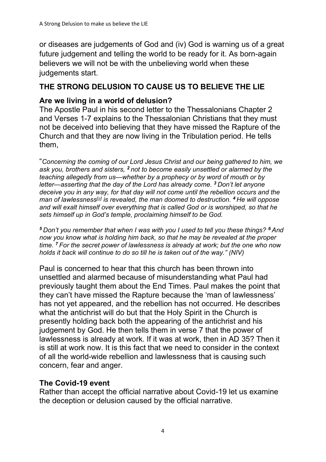or diseases are judgements of God and (iv) God is warning us of a great future judgement and telling the world to be ready for it. As born-again believers we will not be with the unbelieving world when these judgements start.

#### **THE STRONG DELUSION TO CAUSE US TO BELIEVE THE LIE**

#### **Are we living in a world of delusion?**

The Apostle Paul in his second letter to the Thessalonians Chapter 2 and Verses 1-7 explains to the Thessalonian Christians that they must not be deceived into believing that they have missed the Rapture of the Church and that they are now living in the Tribulation period. He tells them,

"*Concerning the coming of our Lord Jesus Christ and our being gathered to him, we ask you, brothers and sisters, <sup>2</sup>not to become easily unsettled or alarmed by the teaching allegedly from us—whether by a prophecy or by word of mouth or by letter—asserting that the day of the Lord has already come. <sup>3</sup>Don't let anyone deceive you in any way, for that day will not come until the rebellion occurs and the man of lawlessness[a] is revealed, the man doomed to destruction. <sup>4</sup>He will oppose and will exalt himself over everything that is called God or is worshiped, so that he sets himself up in God's temple, proclaiming himself to be God.*

*<sup>5</sup>Don't you remember that when I was with you I used to tell you these things? <sup>6</sup>And now you know what is holding him back, so that he may be revealed at the proper time. <sup>7</sup>For the secret power of lawlessness is already at work; but the one who now holds it back will continue to do so till he is taken out of the way." (NIV)*

Paul is concerned to hear that this church has been thrown into unsettled and alarmed because of misunderstanding what Paul had previously taught them about the End Times. Paul makes the point that they can't have missed the Rapture because the 'man of lawlessness' has not yet appeared, and the rebellion has not occurred. He describes what the antichrist will do but that the Holy Spirit in the Church is presently holding back both the appearing of the antichrist and his judgement by God. He then tells them in verse 7 that the power of lawlessness is already at work. If it was at work, then in AD 35? Then it is still at work now. It is this fact that we need to consider in the context of all the world-wide rebellion and lawlessness that is causing such concern, fear and anger.

#### **The Covid-19 event**

Rather than accept the official narrative about Covid-19 let us examine the deception or delusion caused by the official narrative.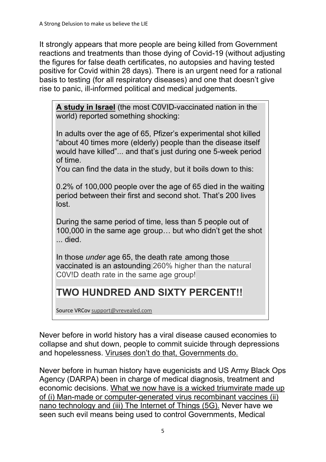It strongly appears that more people are being killed from Government reactions and treatments than those dying of Covid-19 (without adjusting the figures for false death certificates, no autopsies and having tested positive for Covid within 28 days). There is an urgent need for a rational basis to testing (for all respiratory diseases) and one that doesn't give rise to panic, ill-informed political and medical judgements.

**A study in Israel** (the most C0VID-vaccinated nation in the world) reported something shocking:

In adults over the age of 65, Pfizer's experimental shot killed "about 40 times more (elderly) people than the disease itself would have killed"... and that's just during one 5-week period of time.

You can find the data in the study, but it boils down to this:

0.2% of 100,000 people over the age of 65 died in the waiting period between their first and second shot. That's 200 lives lost.

During the same period of time, less than 5 people out of 100,000 in the same age group… but who didn't get the shot ... died.

In those *under* age 65, the death rate among those vaccinated is an astounding 260% higher than the natural C0V!D death rate in the same age group!

## **TWO HUNDRED AND SIXTY PERCENT!!**

Source VRCov support@vrevealed.com

Never before in world history has a viral disease caused economies to collapse and shut down, people to commit suicide through depressions and hopelessness. Viruses don't do that, Governments do.

Never before in human history have eugenicists and US Army Black Ops Agency (DARPA) been in charge of medical diagnosis, treatment and economic decisions. What we now have is a wicked triumvirate made up of (i) Man-made or computer-generated virus recombinant vaccines (ii) nano technology and (iii) The Internet of Things (5G). Never have we seen such evil means being used to control Governments, Medical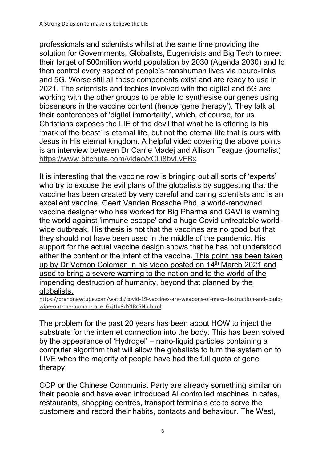professionals and scientists whilst at the same time providing the solution for Governments, Globalists, Eugenicists and Big Tech to meet their target of 500million world population by 2030 (Agenda 2030) and to then control every aspect of people's transhuman lives via neuro-links and 5G. Worse still all these components exist and are ready to use in 2021. The scientists and techies involved with the digital and 5G are working with the other groups to be able to synthesise our genes using biosensors in the vaccine content (hence 'gene therapy'). They talk at their conferences of 'digital immortality', which, of course, for us Christians exposes the LIE of the devil that what he is offering is his 'mark of the beast' is eternal life, but not the eternal life that is ours with Jesus in His eternal kingdom. A helpful video covering the above points is an interview between Dr Carrie Madej and Allison Teague (journalist) https://www.bitchute.com/video/xCLi8bvLvFBx

It is interesting that the vaccine row is bringing out all sorts of 'experts' who try to excuse the evil plans of the globalists by suggesting that the vaccine has been created by very careful and caring scientists and is an excellent vaccine. Geert Vanden Bossche Phd, a world-renowned vaccine designer who has worked for Big Pharma and GAVI is warning the world against 'immune escape' and a huge Covid untreatable worldwide outbreak. His thesis is not that the vaccines are no good but that they should not have been used in the middle of the pandemic. His support for the actual vaccine design shows that he has not understood either the content or the intent of the vaccine. This point has been taken up by Dr Vernon Coleman in his video posted on 14<sup>th</sup> March 2021 and used to bring a severe warning to the nation and to the world of the impending destruction of humanity, beyond that planned by the globalists.

https://brandnewtube.com/watch/covid-19-vaccines-are-weapons-of-mass-destruction-and-couldwipe-out-the-human-race\_GcjtJu9dY1RcSNh.html

The problem for the past 20 years has been about HOW to inject the substrate for the internet connection into the body. This has been solved by the appearance of 'Hydrogel' – nano-liquid particles containing a computer algorithm that will allow the globalists to turn the system on to LIVE when the majority of people have had the full quota of gene therapy.

CCP or the Chinese Communist Party are already something similar on their people and have even introduced AI controlled machines in cafes, restaurants, shopping centres, transport terminals etc to serve the customers and record their habits, contacts and behaviour. The West,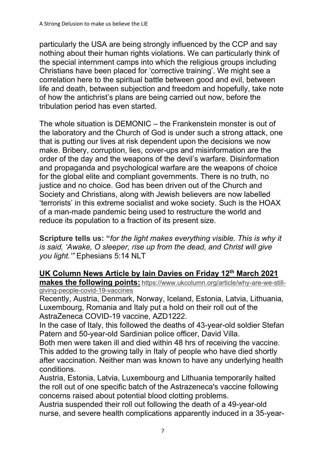particularly the USA are being strongly influenced by the CCP and say nothing about their human rights violations. We can particularly think of the special internment camps into which the religious groups including Christians have been placed for 'corrective training'. We might see a correlation here to the spiritual battle between good and evil, between life and death, between subjection and freedom and hopefully, take note of how the antichrist's plans are being carried out now, before the tribulation period has even started.

The whole situation is DEMONIC – the Frankenstein monster is out of the laboratory and the Church of God is under such a strong attack, one that is putting our lives at risk dependent upon the decisions we now make. Bribery, corruption, lies, cover-ups and misinformation are the order of the day and the weapons of the devil's warfare. Disinformation and propaganda and psychological warfare are the weapons of choice for the global elite and compliant governments. There is no truth, no justice and no choice. God has been driven out of the Church and Society and Christians, along with Jewish believers are now labelled 'terrorists' in this extreme socialist and woke society. Such is the HOAX of a man-made pandemic being used to restructure the world and reduce its population to a fraction of its present size.

**Scripture tells us: "***for the light makes everything visible. This is why it is said, 'Awake, O sleeper, rise up from the dead, and Christ will give you light.'"* Ephesians 5:14 NLT

#### **UK Column News Article by Iain Davies on Friday 12th March 2021 makes the following points:** https://www.ukcolumn.org/article/why-are-we-stillgiving-people-covid-19-vaccines

Recently, Austria, Denmark, Norway, Iceland, Estonia, Latvia, Lithuania, Luxembourg, Romania and Italy put a hold on their roll out of the AstraZeneca COVID-19 vaccine, AZD1222.

In the case of Italy, this followed the deaths of 43-year-old soldier Stefan Patern and 50-year-old Sardinian police officer, David Villa.

Both men were taken ill and died within 48 hrs of receiving the vaccine. This added to the growing tally in Italy of people who have died shortly after vaccination. Neither man was known to have any underlying health conditions.

Austria, Estonia, Latvia, Luxembourg and Lithuania temporarily halted the roll out of one specific batch of the Astrazeneca's vaccine following concerns raised about potential blood clotting problems.

Austria suspended their roll out following the death of a 49-year-old nurse, and severe health complications apparently induced in a 35-year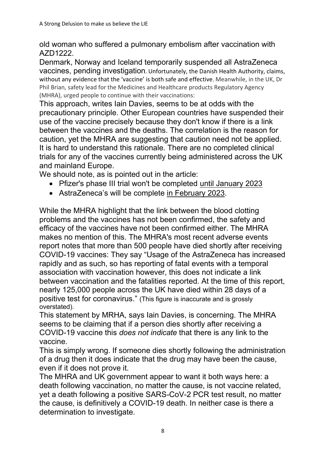old woman who suffered a pulmonary embolism after vaccination with AZD1222

Denmark, Norway and Iceland temporarily suspended all AstraZeneca vaccines, pending investigation. Unfortunately, the Danish Health Authority, claims, without any evidence that the 'vaccine' is both safe and effective. Meanwhile, in the UK, Dr Phil Brian, safety lead for the Medicines and Healthcare products Regulatory Agency (MHRA), urged people to continue with their vaccinations:

This approach, writes Iain Davies, seems to be at odds with the precautionary principle. Other European countries have suspended their use of the vaccine precisely because they don't know if there is a link between the vaccines and the deaths. The correlation is the reason for caution, yet the MHRA are suggesting that caution need not be applied. It is hard to understand this rationale. There are no completed clinical trials for any of the vaccines currently being administered across the UK and mainland Europe.

We should note, as is pointed out in the article:

- Pfizer's phase III trial won't be completed until January 2023
- AstraZeneca's will be complete in February 2023.

While the MHRA highlight that the link between the blood clotting problems and the vaccines has not been confirmed, the safety and efficacy of the vaccines have not been confirmed either. The MHRA makes no mention of this. The MHRA's most recent adverse events report notes that more than 500 people have died shortly after receiving COVID-19 vaccines: They say "Usage of the AstraZeneca has increased rapidly and as such, so has reporting of fatal events with a temporal association with vaccination however, this does not indicate a link between vaccination and the fatalities reported. At the time of this report, nearly 125,000 people across the UK have died within 28 days of a positive test for coronavirus." (This figure is inaccurate and is grossly overstated).

This statement by MRHA, says Iain Davies, is concerning. The MHRA seems to be claiming that if a person dies shortly after receiving a COVID-19 vaccine this *does not indicate* that there is any link to the vaccine.

This is simply wrong. If someone dies shortly following the administration of a drug then it does indicate that the drug may have been the cause, even if it does not prove it.

The MHRA and UK government appear to want it both ways here: a death following vaccination, no matter the cause, is not vaccine related, yet a death following a positive SARS-CoV-2 PCR test result, no matter the cause, is definitively a COVID-19 death. In neither case is there a determination to investigate.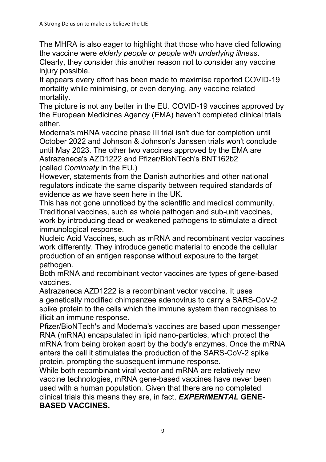The MHRA is also eager to highlight that those who have died following the vaccine were *elderly people or people with underlying illness*. Clearly, they consider this another reason not to consider any vaccine injury possible.

It appears every effort has been made to maximise reported COVID-19 mortality while minimising, or even denying, any vaccine related mortality.

The picture is not any better in the EU. COVID-19 vaccines approved by the European Medicines Agency (EMA) haven't completed clinical trials either.

Moderna's mRNA vaccine phase III trial isn't due for completion until October 2022 and Johnson & Johnson's Janssen trials won't conclude until May 2023. The other two vaccines approved by the EMA are Astrazeneca's AZD1222 and Pfizer/BioNTech's BNT162b2 (called *Comirnaty* in the EU.)

However, statements from the Danish authorities and other national regulators indicate the same disparity between required standards of evidence as we have seen here in the UK.

This has not gone unnoticed by the scientific and medical community. Traditional vaccines, such as whole pathogen and sub-unit vaccines, work by introducing dead or weakened pathogens to stimulate a direct immunological response.

Nucleic Acid Vaccines, such as mRNA and recombinant vector vaccines work differently. They introduce genetic material to encode the cellular production of an antigen response without exposure to the target pathogen.

Both mRNA and recombinant vector vaccines are types of gene-based vaccines.

Astrazeneca AZD1222 is a recombinant vector vaccine. It uses a genetically modified chimpanzee adenovirus to carry a SARS-CoV-2 spike protein to the cells which the immune system then recognises to illicit an immune response.

Pfizer/BioNTech's and Moderna's vaccines are based upon messenger RNA (mRNA) encapsulated in lipid nano-particles, which protect the mRNA from being broken apart by the body's enzymes. Once the mRNA enters the cell it stimulates the production of the SARS-CoV-2 spike protein, prompting the subsequent immune response.

While both recombinant viral vector and mRNA are relatively new vaccine technologies, mRNA gene-based vaccines have never been used with a human population. Given that there are no completed clinical trials this means they are, in fact, *EXPERIMENTAL* **GENE-BASED VACCINES.**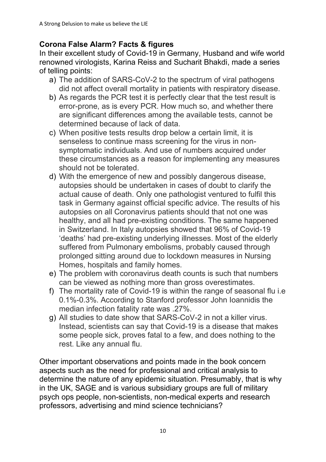#### **Corona False Alarm? Facts & figures**

In their excellent study of Covid-19 in Germany, Husband and wife world renowned virologists, Karina Reiss and Sucharit Bhakdi, made a series of telling points:

- a) The addition of SARS-CoV-2 to the spectrum of viral pathogens did not affect overall mortality in patients with respiratory disease.
- b) As regards the PCR test it is perfectly clear that the test result is error-prone, as is every PCR. How much so, and whether there are significant differences among the available tests, cannot be determined because of lack of data.
- c) When positive tests results drop below a certain limit, it is senseless to continue mass screening for the virus in nonsymptomatic individuals. And use of numbers acquired under these circumstances as a reason for implementing any measures should not be tolerated.
- d) With the emergence of new and possibly dangerous disease, autopsies should be undertaken in cases of doubt to clarify the actual cause of death. Only one pathologist ventured to fulfil this task in Germany against official specific advice. The results of his autopsies on all Coronavirus patients should that not one was healthy, and all had pre-existing conditions. The same happened in Switzerland. In Italy autopsies showed that 96% of Covid-19 'deaths' had pre-existing underlying illnesses. Most of the elderly suffered from Pulmonary embolisms, probably caused through prolonged sitting around due to lockdown measures in Nursing Homes, hospitals and family homes.
- e) The problem with coronavirus death counts is such that numbers can be viewed as nothing more than gross overestimates.
- f) The mortality rate of Covid-19 is within the range of seasonal flu i.e 0.1%-0.3%. According to Stanford professor John Ioannidis the median infection fatality rate was .27%.
- g) All studies to date show that SARS-CoV-2 in not a killer virus. Instead, scientists can say that Covid-19 is a disease that makes some people sick, proves fatal to a few, and does nothing to the rest. Like any annual flu.

Other important observations and points made in the book concern aspects such as the need for professional and critical analysis to determine the nature of any epidemic situation. Presumably, that is why in the UK, SAGE and is various subsidiary groups are full of military psych ops people, non-scientists, non-medical experts and research professors, advertising and mind science technicians?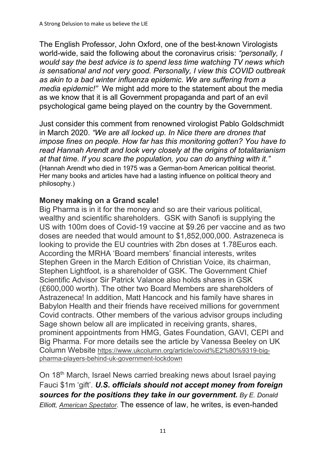The English Professor, John Oxford, one of the best-known Virologists world-wide, said the following about the coronavirus crisis: *"personally, I would say the best advice is to spend less time watching TV news which is sensational and not very good. Personally, I view this COVID outbreak as akin to a bad winter influenza epidemic. We are suffering from a media epidemic!"* We might add more to the statement about the media as we know that it is all Government propaganda and part of an evil psychological game being played on the country by the Government.

Just consider this comment from renowned virologist Pablo Goldschmidt in March 2020. *"We are all locked up. In Nice there are drones that impose fines on people. How far has this monitoring gotten? You have to read Hannah Arendt and look very closely at the origins of totalitarianism at that time. If you scare the population, you can do anything with it."* (Hannah Arendt who died in 1975 was a German-born American political theorist. Her many books and articles have had a lasting influence on political theory and philosophy.)

#### **Money making on a Grand scale!**

Big Pharma is in it for the money and so are their various political, wealthy and scientific shareholders. GSK with Sanofi is supplying the US with 100m does of Covid-19 vaccine at \$9.26 per vaccine and as two doses are needed that would amount to \$1,852,000,000. Astrazeneca is looking to provide the EU countries with 2bn doses at 1.78Euros each. According the MRHA 'Board members' financial interests, writes Stephen Green in the March Edition of Christian Voice, its chairman, Stephen Lightfoot, is a shareholder of GSK. The Government Chief Scientific Advisor Sir Patrick Valance also holds shares in GSK (£600,000 worth). The other two Board Members are shareholders of Astrazeneca! In addition, Matt Hancock and his family have shares in Babylon Health and their friends have received millions for government Covid contracts. Other members of the various advisor groups including Sage shown below all are implicated in receiving grants, shares, prominent appointments from HMG, Gates Foundation, GAVI, CEPI and Big Pharma. For more details see the article by Vanessa Beeley on UK Column Website https://www.ukcolumn.org/article/covid%E2%80%9319-bigpharma-players-behind-uk-government-lockdown

On 18<sup>th</sup> March, Israel News carried breaking news about Israel paying Fauci \$1m 'gift'. *U.S. officials should not accept money from foreign sources for the positions they take in our government. By E. Donald Elliott, American Spectator.* The essence of law, he writes, is even-handed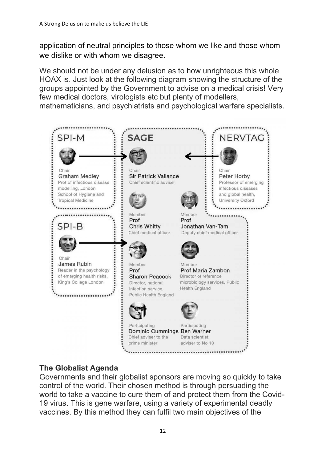application of neutral principles to those whom we like and those whom we dislike or with whom we disagree.

We should not be under any delusion as to how unrighteous this whole HOAX is. Just look at the following diagram showing the structure of the groups appointed by the Government to advise on a medical crisis! Very few medical doctors, virologists etc but plenty of modellers,

mathematicians, and psychiatrists and psychological warfare specialists.



#### **The Globalist Agenda**

Governments and their globalist sponsors are moving so quickly to take control of the world. Their chosen method is through persuading the world to take a vaccine to cure them of and protect them from the Covid-19 virus. This is gene warfare, using a variety of experimental deadly vaccines. By this method they can fulfil two main objectives of the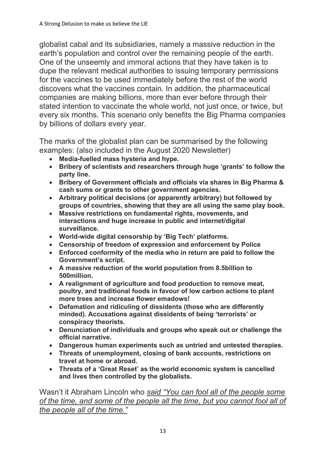globalist cabal and its subsidiaries, namely a massive reduction in the earth's population and control over the remaining people of the earth. One of the unseemly and immoral actions that they have taken is to dupe the relevant medical authorities to issuing temporary permissions for the vaccines to be used immediately before the rest of the world discovers what the vaccines contain. In addition, the pharmaceutical companies are making billions, more than ever before through their stated intention to vaccinate the whole world, not just once, or twice, but every six months. This scenario only benefits the Big Pharma companies by billions of dollars every year.

The marks of the globalist plan can be summarised by the following examples: (also included in the August 2020 Newsletter)

- x **Media-fuelled mass hysteria and hype.**
- **Bribery of scientists and researchers through huge 'grants' to follow the party line.**
- **Bribery of Government officials and officials via shares in Big Pharma & cash sums or grants to other government agencies.**
- Arbitrary political decisions (or apparently arbitrary) but followed by **groups of countries, showing that they are all using the same play book.**
- x **Massive restrictions on fundamental rights, movements, and interactions and huge increase in public and internet/digital surveillance.**
- x **World-wide digital censorship by 'Big Tech' platforms.**
- x **Censorship of freedom of expression and enforcement by Police**
- **Enforced conformity of the media who in return are paid to follow the Government's script.**
- x **A massive reduction of the world population from 8.5billion to 500million.**
- x **A realignment of agriculture and food production to remove meat, poultry, and traditional foods in favour of low carbon actions to plant more trees and increase flower emadows!**
- **•** Defamation and ridiculing of dissidents (those who are differently **minded). Accusations against dissidents of being 'terrorists' or conspiracy theorists.**
- **Denunciation of individuals and groups who speak out or challenge the official narrative.**
- x **Dangerous human experiments such as untried and untested therapies.**
- **EXECTE:** Threats of unemployment, closing of bank accounts, restrictions on **travel at home or abroad.**
- **Threats of a 'Great Reset' as the world economic system is cancelled and lives then controlled by the globalists.**

Wasn't it Abraham Lincoln who *said "You can fool all of the people some of the time, and some of the people all the time, but you cannot fool all of the people all of the time."*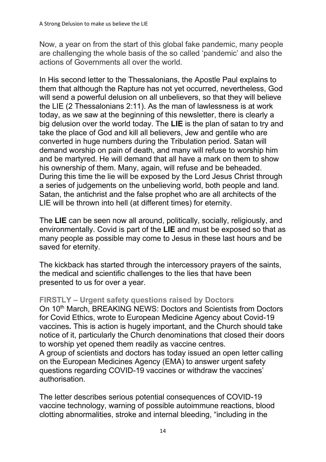Now, a year on from the start of this global fake pandemic, many people are challenging the whole basis of the so called 'pandemic' and also the actions of Governments all over the world.

In His second letter to the Thessalonians, the Apostle Paul explains to them that although the Rapture has not yet occurred, nevertheless, God will send a powerful delusion on all unbelievers, so that they will believe the LIE (2 Thessalonians 2:11). As the man of lawlessness is at work today, as we saw at the beginning of this newsletter, there is clearly a big delusion over the world today. The **LIE** is the plan of satan to try and take the place of God and kill all believers, Jew and gentile who are converted in huge numbers during the Tribulation period. Satan will demand worship on pain of death, and many will refuse to worship him and be martyred. He will demand that all have a mark on them to show his ownership of them. Many, again, will refuse and be beheaded. During this time the lie will be exposed by the Lord Jesus Christ through a series of judgements on the unbelieving world, both people and land. Satan, the antichrist and the false prophet who are all architects of the LIE will be thrown into hell (at different times) for eternity.

The **LIE** can be seen now all around, politically, socially, religiously, and environmentally. Covid is part of the **LIE** and must be exposed so that as many people as possible may come to Jesus in these last hours and be saved for eternity.

The kickback has started through the intercessory prayers of the saints, the medical and scientific challenges to the lies that have been presented to us for over a year.

#### **FIRSTLY – Urgent safety questions raised by Doctors**

On 10<sup>th</sup> March, BREAKING NEWS: Doctors and Scientists from Doctors for Covid Ethics, wrote to European Medicine Agency about Covid-19 vaccines**.** This is action is hugely important, and the Church should take notice of it, particularly the Church denominations that closed their doors to worship yet opened them readily as vaccine centres. A group of scientists and doctors has today issued an open letter calling on the European Medicines Agency (EMA) to answer urgent safety questions regarding COVID-19 vaccines or withdraw the vaccines' authorisation.

The letter describes serious potential consequences of COVID-19 vaccine technology, warning of possible autoimmune reactions, blood clotting abnormalities, stroke and internal bleeding, "including in the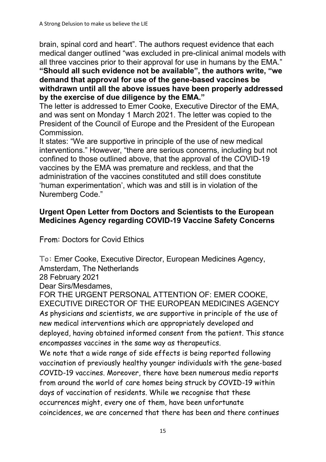brain, spinal cord and heart". The authors request evidence that each medical danger outlined "was excluded in pre-clinical animal models with all three vaccines prior to their approval for use in humans by the EMA."

**"Should all such evidence not be available", the authors write, "we demand that approval for use of the gene-based vaccines be withdrawn until all the above issues have been properly addressed by the exercise of due diligence by the EMA."**

The letter is addressed to Emer Cooke, Executive Director of the EMA, and was sent on Monday 1 March 2021. The letter was copied to the President of the Council of Europe and the President of the European **Commission** 

It states: "We are supportive in principle of the use of new medical interventions." However, "there are serious concerns, including but not confined to those outlined above, that the approval of the COVID-19 vaccines by the EMA was premature and reckless, and that the administration of the vaccines constituted and still does constitute 'human experimentation', which was and still is in violation of the Nuremberg Code."

#### **Urgent Open Letter from Doctors and Scientists to the European Medicines Agency regarding COVID-19 Vaccine Safety Concerns**

From: Doctors for Covid Ethics

**To:** Emer Cooke, Executive Director, European Medicines Agency,

Amsterdam, The Netherlands

28 February 2021

Dear Sirs/Mesdames,

FOR THE URGENT PERSONAL ATTENTION OF: EMER COOKE, EXECUTIVE DIRECTOR OF THE EUROPEAN MEDICINES AGENCY As physicians and scientists, we are supportive in principle of the use of new medical interventions which are appropriately developed and deployed, having obtained informed consent from the patient. This stance encompasses vaccines in the same way as therapeutics.

We note that a wide range of side effects is being reported following vaccination of previously healthy younger individuals with the gene-based COVID-19 vaccines. Moreover, there have been numerous media reports from around the world of care homes being struck by COVID-19 within days of vaccination of residents. While we recognise that these occurrences might, every one of them, have been unfortunate coincidences, we are concerned that there has been and there continues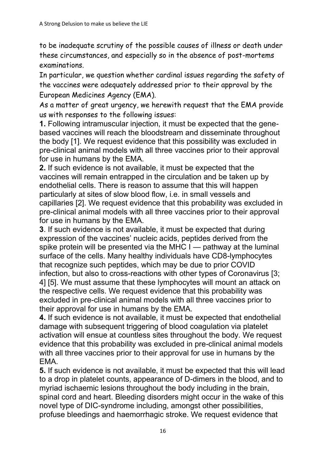to be inadequate scrutiny of the possible causes of illness or death under these circumstances, and especially so in the absence of post-mortems examinations.

In particular, we question whether cardinal issues regarding the safety of the vaccines were adequately addressed prior to their approval by the European Medicines Agency (EMA).

As a matter of great urgency, we herewith request that the EMA provide us with responses to the following issues:

**1.** Following intramuscular injection, it must be expected that the genebased vaccines will reach the bloodstream and disseminate throughout the body [1]. We request evidence that this possibility was excluded in pre-clinical animal models with all three vaccines prior to their approval for use in humans by the EMA.

**2.** If such evidence is not available, it must be expected that the vaccines will remain entrapped in the circulation and be taken up by endothelial cells. There is reason to assume that this will happen particularly at sites of slow blood flow, i.e. in small vessels and capillaries [2]. We request evidence that this probability was excluded in pre-clinical animal models with all three vaccines prior to their approval for use in humans by the EMA.

**3**. If such evidence is not available, it must be expected that during expression of the vaccines' nucleic acids, peptides derived from the spike protein will be presented via the MHC  $I -$  pathway at the luminal surface of the cells. Many healthy individuals have CD8-lymphocytes that recognize such peptides, which may be due to prior COVID infection, but also to cross-reactions with other types of Coronavirus [3; 4] [5]. We must assume that these lymphocytes will mount an attack on the respective cells. We request evidence that this probability was excluded in pre-clinical animal models with all three vaccines prior to their approval for use in humans by the EMA.

**4.** If such evidence is not available, it must be expected that endothelial damage with subsequent triggering of blood coagulation via platelet activation will ensue at countless sites throughout the body. We request evidence that this probability was excluded in pre-clinical animal models with all three vaccines prior to their approval for use in humans by the EMA.

**5.** If such evidence is not available, it must be expected that this will lead to a drop in platelet counts, appearance of D-dimers in the blood, and to myriad ischaemic lesions throughout the body including in the brain, spinal cord and heart. Bleeding disorders might occur in the wake of this novel type of DIC-syndrome including, amongst other possibilities, profuse bleedings and haemorrhagic stroke. We request evidence that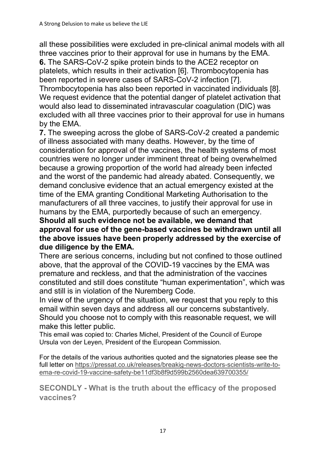all these possibilities were excluded in pre-clinical animal models with all three vaccines prior to their approval for use in humans by the EMA. **6.** The SARS-CoV-2 spike protein binds to the ACE2 receptor on platelets, which results in their activation [6]. Thrombocytopenia has been reported in severe cases of SARS-CoV-2 infection [7]. Thrombocytopenia has also been reported in vaccinated individuals [8].

We request evidence that the potential danger of platelet activation that would also lead to disseminated intravascular coagulation (DIC) was excluded with all three vaccines prior to their approval for use in humans by the EMA.

**7.** The sweeping across the globe of SARS-CoV-2 created a pandemic of illness associated with many deaths. However, by the time of consideration for approval of the vaccines, the health systems of most countries were no longer under imminent threat of being overwhelmed because a growing proportion of the world had already been infected and the worst of the pandemic had already abated. Consequently, we demand conclusive evidence that an actual emergency existed at the time of the EMA granting Conditional Marketing Authorisation to the manufacturers of all three vaccines, to justify their approval for use in humans by the EMA, purportedly because of such an emergency.

#### **Should all such evidence not be available, we demand that approval for use of the gene-based vaccines be withdrawn until all the above issues have been properly addressed by the exercise of due diligence by the EMA.**

There are serious concerns, including but not confined to those outlined above, that the approval of the COVID-19 vaccines by the EMA was premature and reckless, and that the administration of the vaccines constituted and still does constitute "human experimentation", which was and still is in violation of the Nuremberg Code.

In view of the urgency of the situation, we request that you reply to this email within seven days and address all our concerns substantively. Should you choose not to comply with this reasonable request, we will make this letter public.

This email was copied to: Charles Michel, President of the Council of Europe Ursula von der Leyen, President of the European Commission.

For the details of the various authorities quoted and the signatories please see the full letter on https://pressat.co.uk/releases/breakig-news-doctors-scientists-write-toema-re-covid-19-vaccine-safety-be11df3b8f9d599b2560dea639700355/

**SECONDLY - What is the truth about the efficacy of the proposed vaccines?**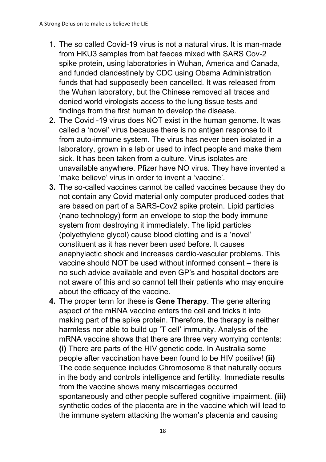- 1. The so called Covid-19 virus is not a natural virus. It is man-made from HKU3 samples from bat faeces mixed with SARS Cov-2 spike protein, using laboratories in Wuhan, America and Canada, and funded clandestinely by CDC using Obama Administration funds that had supposedly been cancelled. It was released from the Wuhan laboratory, but the Chinese removed all traces and denied world virologists access to the lung tissue tests and findings from the first human to develop the disease.
- 2. The Covid -19 virus does NOT exist in the human genome. It was called a 'novel' virus because there is no antigen response to it from auto-immune system. The virus has never been isolated in a laboratory, grown in a lab or used to infect people and make them sick. It has been taken from a culture. Virus isolates are unavailable anywhere. Pfizer have NO virus. They have invented a 'make believe' virus in order to invent a 'vaccine'.
- **3.** The so-called vaccines cannot be called vaccines because they do not contain any Covid material only computer produced codes that are based on part of a SARS-Cov2 spike protein. Lipid particles (nano technology) form an envelope to stop the body immune system from destroying it immediately. The lipid particles (polyethylene glycol) cause blood clotting and is a 'novel' constituent as it has never been used before. It causes anaphylactic shock and increases cardio-vascular problems. This vaccine should NOT be used without informed consent – there is no such advice available and even GP's and hospital doctors are not aware of this and so cannot tell their patients who may enquire about the efficacy of the vaccine.
- **4.** The proper term for these is **Gene Therapy**. The gene altering aspect of the mRNA vaccine enters the cell and tricks it into making part of the spike protein. Therefore, the therapy is neither harmless nor able to build up 'T cell' immunity. Analysis of the mRNA vaccine shows that there are three very worrying contents: **(i)** There are parts of the HIV genetic code. In Australia some people after vaccination have been found to be HIV positive! **(ii)** The code sequence includes Chromosome 8 that naturally occurs in the body and controls intelligence and fertility. Immediate results from the vaccine shows many miscarriages occurred spontaneously and other people suffered cognitive impairment. **(iii)** synthetic codes of the placenta are in the vaccine which will lead to the immune system attacking the woman's placenta and causing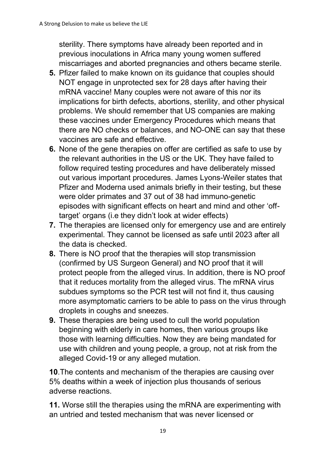sterility. There symptoms have already been reported and in previous inoculations in Africa many young women suffered miscarriages and aborted pregnancies and others became sterile.

- **5.** Pfizer failed to make known on its guidance that couples should NOT engage in unprotected sex for 28 days after having their mRNA vaccine! Many couples were not aware of this nor its implications for birth defects, abortions, sterility, and other physical problems. We should remember that US companies are making these vaccines under Emergency Procedures which means that there are NO checks or balances, and NO-ONE can say that these vaccines are safe and effective.
- **6.** None of the gene therapies on offer are certified as safe to use by the relevant authorities in the US or the UK. They have failed to follow required testing procedures and have deliberately missed out various important procedures. James Lyons-Weiler states that Pfizer and Moderna used animals briefly in their testing, but these were older primates and 37 out of 38 had immuno-genetic episodes with significant effects on heart and mind and other 'offtarget' organs (i.e they didn't look at wider effects)
- **7.** The therapies are licensed only for emergency use and are entirely experimental. They cannot be licensed as safe until 2023 after all the data is checked.
- **8.** There is NO proof that the therapies will stop transmission (confirmed by US Surgeon General) and NO proof that it will protect people from the alleged virus. In addition, there is NO proof that it reduces mortality from the alleged virus. The mRNA virus subdues symptoms so the PCR test will not find it, thus causing more asymptomatic carriers to be able to pass on the virus through droplets in coughs and sneezes.
- **9.** These therapies are being used to cull the world population beginning with elderly in care homes, then various groups like those with learning difficulties. Now they are being mandated for use with children and young people, a group, not at risk from the alleged Covid-19 or any alleged mutation.

**10**.The contents and mechanism of the therapies are causing over 5% deaths within a week of injection plus thousands of serious adverse reactions.

**11.** Worse still the therapies using the mRNA are experimenting with an untried and tested mechanism that was never licensed or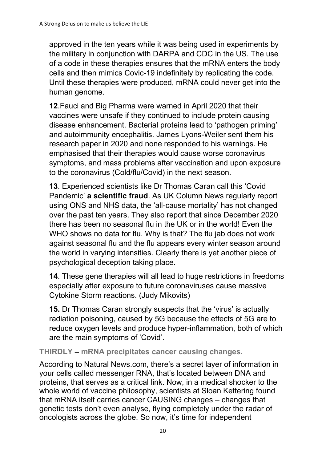approved in the ten years while it was being used in experiments by the military in conjunction with DARPA and CDC in the US. The use of a code in these therapies ensures that the mRNA enters the body cells and then mimics Covic-19 indefinitely by replicating the code. Until these therapies were produced, mRNA could never get into the human genome.

**12**.Fauci and Big Pharma were warned in April 2020 that their vaccines were unsafe if they continued to include protein causing disease enhancement. Bacterial proteins lead to 'pathogen priming' and autoimmunity encephalitis. James Lyons-Weiler sent them his research paper in 2020 and none responded to his warnings. He emphasised that their therapies would cause worse coronavirus symptoms, and mass problems after vaccination and upon exposure to the coronavirus (Cold/flu/Covid) in the next season.

**13**. Experienced scientists like Dr Thomas Caran call this 'Covid Pandemic' **a scientific fraud**. As UK Column News regularly report using ONS and NHS data, the 'all-cause mortality' has not changed over the past ten years. They also report that since December 2020 there has been no seasonal flu in the UK or in the world! Even the WHO shows no data for flu. Why is that? The flu jab does not work against seasonal flu and the flu appears every winter season around the world in varying intensities. Clearly there is yet another piece of psychological deception taking place.

**14**. These gene therapies will all lead to huge restrictions in freedoms especially after exposure to future coronaviruses cause massive Cytokine Storm reactions. (Judy Mikovits)

**15.** Dr Thomas Caran strongly suspects that the 'virus' is actually radiation poisoning, caused by 5G because the effects of 5G are to reduce oxygen levels and produce hyper-inflammation, both of which are the main symptoms of 'Covid'.

**THIRDLY – mRNA precipitates cancer causing changes.**

According to Natural News.com, there's a secret layer of information in your cells called messenger RNA, that's located between DNA and proteins, that serves as a critical link. Now, in a medical shocker to the whole world of vaccine philosophy, scientists at Sloan Kettering found that mRNA itself carries cancer CAUSING changes – changes that genetic tests don't even analyse, flying completely under the radar of oncologists across the globe. So now, it's time for independent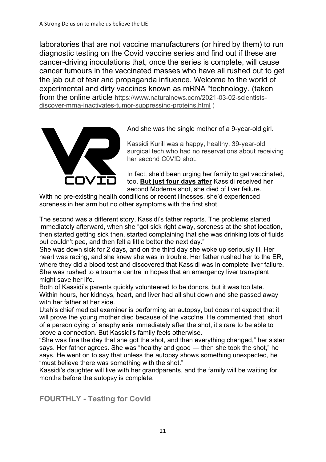laboratories that are not vaccine manufacturers (or hired by them) to run diagnostic testing on the Covid vaccine series and find out if these are cancer-driving inoculations that, once the series is complete, will cause cancer tumours in the vaccinated masses who have all rushed out to get the jab out of fear and propaganda influence. Welcome to the world of experimental and dirty vaccines known as mRNA "technology. (taken from the online article https://www.naturalnews.com/2021-03-02-scientistsdiscover-mrna-inactivates-tumor-suppressing-proteins.html )



And she was the single mother of a 9-year-old girl.

Kassidi Kurill was a happy, healthy, 39-year-old surgical tech who had no reservations about receiving her second C0V!D shot.

In fact, she'd been urging her family to get vaccinated, too. **But just four days after** Kassidi received her second Moderna shot, she died of liver failure.

With no pre-existing health conditions or recent illnesses, she'd experienced soreness in her arm but no other symptoms with the first shot.

The second was a different story, Kassidi's father reports. The problems started immediately afterward, when she "got sick right away, soreness at the shot location, then started getting sick then, started complaining that she was drinking lots of fluids but couldn't pee, and then felt a little better the next day."

She was down sick for 2 days, and on the third day she woke up seriously ill. Her heart was racing, and she knew she was in trouble. Her father rushed her to the ER, where they did a blood test and discovered that Kassidi was in complete liver failure. She was rushed to a trauma centre in hopes that an emergency liver transplant might save her life.

Both of Kassidi's parents quickly volunteered to be donors, but it was too late. Within hours, her kidneys, heart, and liver had all shut down and she passed away with her father at her side.

Utah's chief medical examiner is performing an autopsy, but does not expect that it will prove the young mother died because of the vacc!ne. He commented that, short of a person dying of anaphylaxis immediately after the shot, it's rare to be able to prove a connection. But Kassidi's family feels otherwise.

"She was fine the day that she got the shot, and then everything changed," her sister says. Her father agrees. She was "healthy and good — then she took the shot," he says. He went on to say that unless the autopsy shows something unexpected, he "must believe there was something with the shot."

Kassidi's daughter will live with her grandparents, and the family will be waiting for months before the autopsy is complete.

**FOURTHLY - Testing for Covid**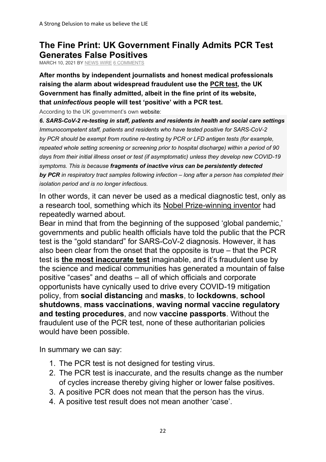### **The Fine Print: UK Government Finally Admits PCR Test Generates False Positives**

MARCH 10, 2021 BY NEWS WIRE 6 COMMENTS

**After months by independent journalists and honest medical professionals raising the alarm about widespread fraudulent use the PCR test, the UK Government has finally admitted, albeit in the fine print of its website, that** *uninfectious* **people will test 'positive' with a PCR test.**

According to the UK government's own website:

*6. SARS-CoV-2 re-testing in staff, patients and residents in health and social care settings Immunocompetent staff, patients and residents who have tested positive for SARS-CoV-2 by PCR should be exempt from routine re-testing by PCR or LFD antigen tests (for example, repeated whole setting screening or screening prior to hospital discharge) within a period of 90 days from their initial illness onset or test (if asymptomatic) unless they develop new COVID-19 symptoms. This is because fragments of inactive virus can be persistently detected by PCR in respiratory tract samples following infection – long after a person has completed their isolation period and is no longer infectious.* 

In other words, it can never be used as a medical diagnostic test, only as a research tool, something which its Nobel Prize-winning inventor had repeatedly warned about.

Bear in mind that from the beginning of the supposed 'global pandemic,' governments and public health officials have told the public that the PCR test is the "gold standard" for SARS-CoV-2 diagnosis. However, it has also been clear from the onset that the opposite is true – that the PCR test is **the most inaccurate test** imaginable, and it's fraudulent use by the science and medical communities has generated a mountain of false positive "cases" and deaths – all of which officials and corporate opportunists have cynically used to drive every COVID-19 mitigation policy, from **social distancing** and **masks**, to **lockdowns**, **school shutdowns**, **mass vaccinations**, **waving normal vaccine regulatory and testing procedures**, and now **vaccine passports**. Without the fraudulent use of the PCR test, none of these authoritarian policies would have been possible.

In summary we can say:

- 1. The PCR test is not designed for testing virus.
- 2. The PCR test is inaccurate, and the results change as the number of cycles increase thereby giving higher or lower false positives.
- 3. A positive PCR does not mean that the person has the virus.
- 4. A positive test result does not mean another 'case'.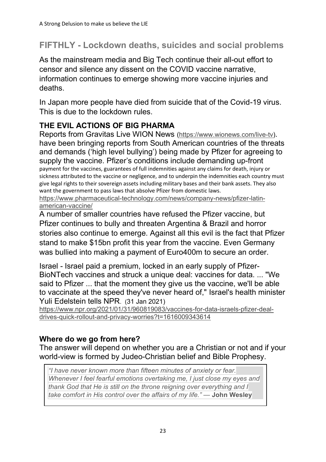### **FIFTHLY - Lockdown deaths, suicides and social problems**

As the mainstream media and Big Tech continue their all-out effort to censor and silence any dissent on the COVID vaccine narrative, information continues to emerge showing more vaccine injuries and deaths.

In Japan more people have died from suicide that of the Covid-19 virus. This is due to the lockdown rules.

#### **THE EVIL ACTIONS OF BIG PHARMA**

Reports from Gravitas Live WION News (https://www.wionews.com/live-tv). have been bringing reports from South American countries of the threats and demands ('high level bullying') being made by Pfizer for agreeing to supply the vaccine. Pfizer's conditions include demanding up-front payment for the vaccines, guarantees of full indemnities against any claims for death, injury or sickness attributed to the vaccine or negligence, and to underpin the indemnities each country must give legal rights to their sovereign assets including military bases and their bank assets. They also want the government to pass laws that absolve Pfizer from domestic laws.

https://www.pharmaceutical-technology.com/news/company-news/pfizer-latinamerican-vaccine/

A number of smaller countries have refused the Pfizer vaccine, but Pfizer continues to bully and threaten Argentina & Brazil and horror stories also continue to emerge. Against all this evil is the fact that Pfizer stand to make \$15bn profit this year from the vaccine. Even Germany was bullied into making a payment of Euro400m to secure an order.

Israel - Israel paid a premium, locked in an early supply of Pfizer-BioNTech vaccines and struck a unique deal: vaccines for data. ... "We said to Pfizer ... that the moment they give us the vaccine, we'll be able to vaccinate at the speed they've never heard of," Israel's health minister Yuli Edelstein tells NPR. (31 Jan 2021)

https://www.npr.org/2021/01/31/960819083/vaccines-for-data-israels-pfizer-dealdrives-quick-rollout-and-privacy-worries?t=1616009343614

#### **Where do we go from here?**

The answer will depend on whether you are a Christian or not and if your world-view is formed by Judeo-Christian belief and Bible Prophesy.

*"I have never known more than fifteen minutes of anxiety or fear. Whenever I feel fearful emotions overtaking me, I just close my eyes and thank God that He is still on the throne reigning over everything and I take comfort in His control over the affairs of my life."* — **John Wesley**